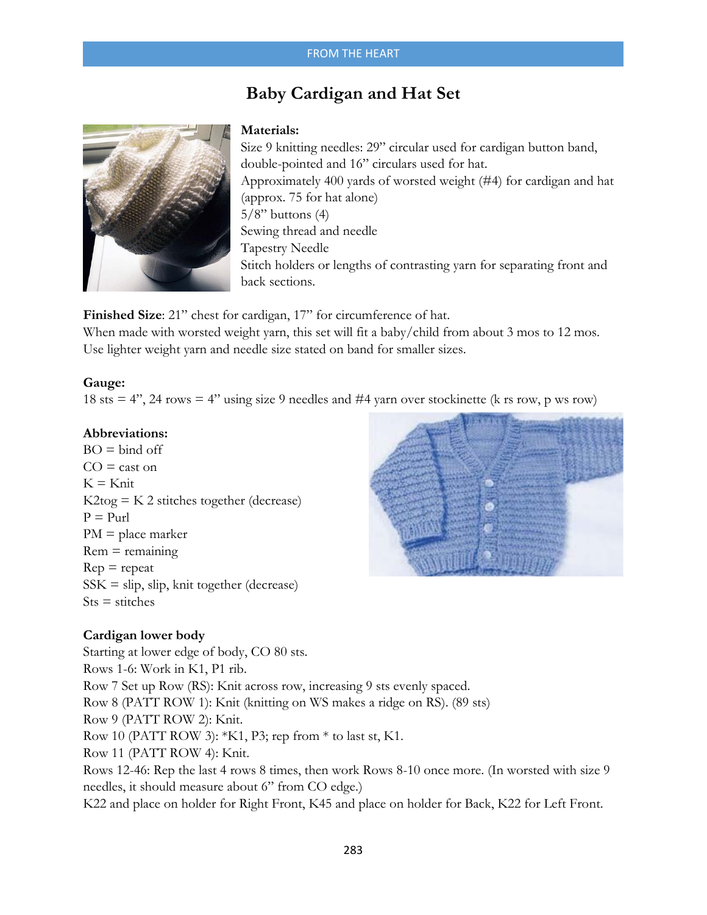## FROM THE HEART

# **Baby Cardigan and Hat Set**



## **Materials:**

Size 9 knitting needles: 29" circular used for cardigan button band, double-pointed and 16" circulars used for hat. Approximately 400 yards of worsted weight (#4) for cardigan and hat (approx. 75 for hat alone)  $5/8$ " buttons  $(4)$ Sewing thread and needle Tapestry Needle Stitch holders or lengths of contrasting yarn for separating front and back sections.

**Finished Size**: 21" chest for cardigan, 17" for circumference of hat. When made with worsted weight yarn, this set will fit a baby/child from about 3 mos to 12 mos. Use lighter weight yarn and needle size stated on band for smaller sizes.

### **Gauge:**

18 sts = 4", 24 rows = 4" using size 9 needles and #4 yarn over stockinette (k rs row, p ws row)

### **Abbreviations:**

 $BO = bind$  off  $CO =$  cast on  $K = K$ nit  $K2$ tog =  $K2$  stitches together (decrease)  $P = Put$  $PM = place marker$  $Rem = remaining$  $Rep = repeat$  $SSK =$ slip, slip, knit together (decrease)  $Sts = sticthes$ 



## **Cardigan lower body**

Starting at lower edge of body, CO 80 sts. Rows 1-6: Work in K1, P1 rib. Row 7 Set up Row (RS): Knit across row, increasing 9 sts evenly spaced. Row 8 (PATT ROW 1): Knit (knitting on WS makes a ridge on RS). (89 sts) Row 9 (PATT ROW 2): Knit. Row 10 (PATT ROW 3): \*K1, P3; rep from \* to last st, K1. Row 11 (PATT ROW 4): Knit. Rows 12-46: Rep the last 4 rows 8 times, then work Rows 8-10 once more. (In worsted with size 9 needles, it should measure about 6" from CO edge.) K22 and place on holder for Right Front, K45 and place on holder for Back, K22 for Left Front.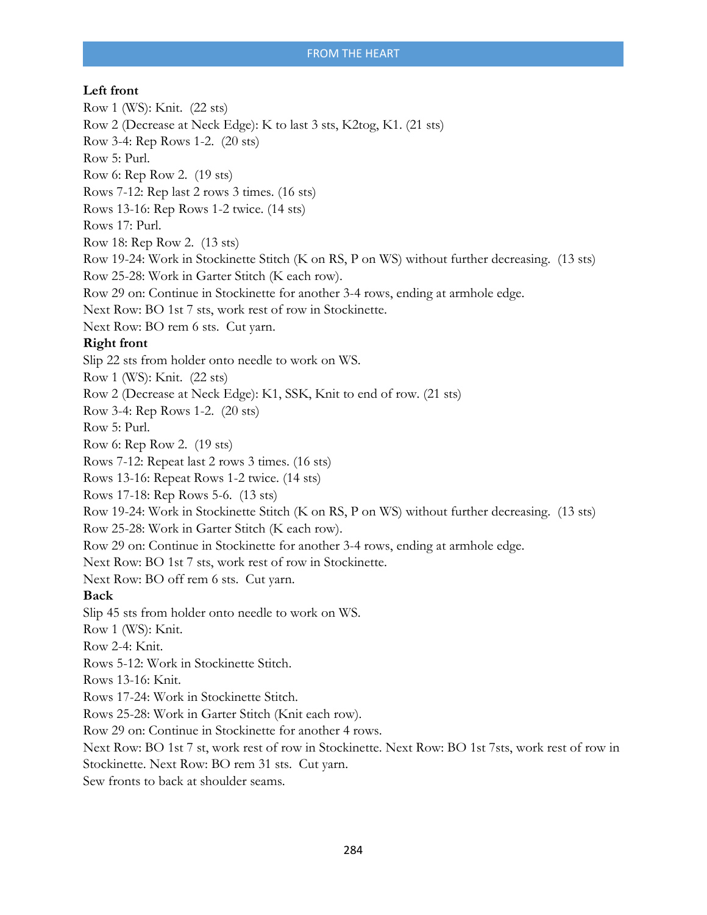# **Left front**

Row 1 (WS): Knit. (22 sts) Row 2 (Decrease at Neck Edge): K to last 3 sts, K2tog, K1. (21 sts) Row 3-4: Rep Rows 1-2. (20 sts) Row 5: Purl. Row 6: Rep Row 2. (19 sts) Rows 7-12: Rep last 2 rows 3 times. (16 sts) Rows 13-16: Rep Rows 1-2 twice. (14 sts) Rows 17: Purl. Row 18: Rep Row 2. (13 sts) Row 19-24: Work in Stockinette Stitch (K on RS, P on WS) without further decreasing. (13 sts) Row 25-28: Work in Garter Stitch (K each row). Row 29 on: Continue in Stockinette for another 3-4 rows, ending at armhole edge. Next Row: BO 1st 7 sts, work rest of row in Stockinette. Next Row: BO rem 6 sts. Cut yarn. **Right front**  Slip 22 sts from holder onto needle to work on WS. Row 1 (WS): Knit. (22 sts) Row 2 (Decrease at Neck Edge): K1, SSK, Knit to end of row. (21 sts) Row 3-4: Rep Rows 1-2. (20 sts) Row 5: Purl. Row 6: Rep Row 2. (19 sts) Rows 7-12: Repeat last 2 rows 3 times. (16 sts) Rows 13-16: Repeat Rows 1-2 twice. (14 sts) Rows 17-18: Rep Rows 5-6. (13 sts) Row 19-24: Work in Stockinette Stitch (K on RS, P on WS) without further decreasing. (13 sts) Row 25-28: Work in Garter Stitch (K each row). Row 29 on: Continue in Stockinette for another 3-4 rows, ending at armhole edge. Next Row: BO 1st 7 sts, work rest of row in Stockinette. Next Row: BO off rem 6 sts. Cut yarn. **Back**  Slip 45 sts from holder onto needle to work on WS. Row 1 (WS): Knit. Row 2-4: Knit. Rows 5-12: Work in Stockinette Stitch. Rows 13-16: Knit. Rows 17-24: Work in Stockinette Stitch. Rows 25-28: Work in Garter Stitch (Knit each row). Row 29 on: Continue in Stockinette for another 4 rows. Next Row: BO 1st 7 st, work rest of row in Stockinette. Next Row: BO 1st 7sts, work rest of row in Stockinette. Next Row: BO rem 31 sts. Cut yarn.

Sew fronts to back at shoulder seams.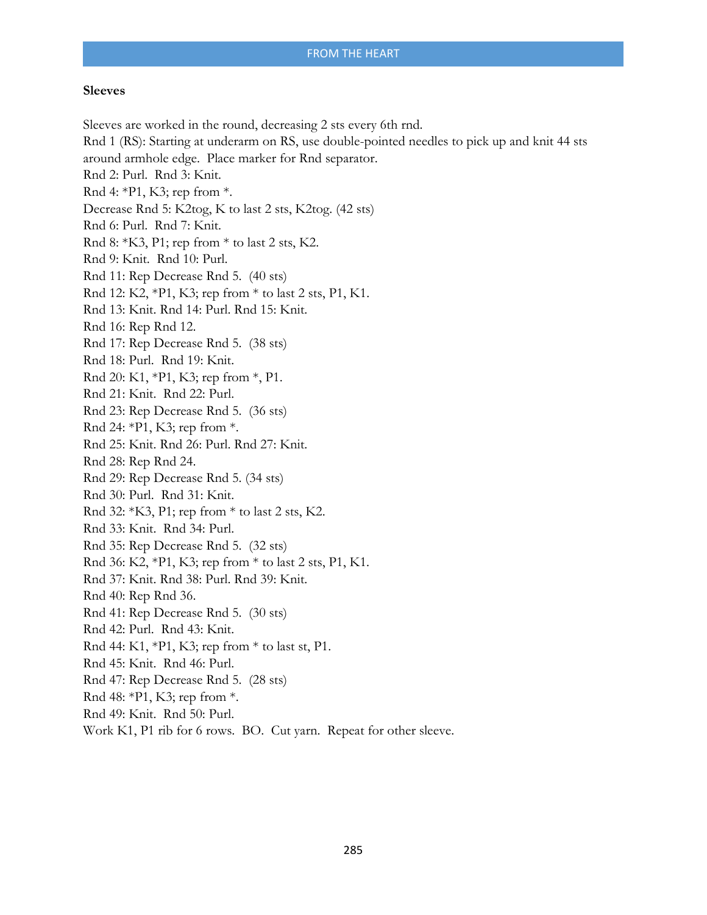#### **Sleeves**

Sleeves are worked in the round, decreasing 2 sts every 6th rnd. Rnd 1 (RS): Starting at underarm on RS, use double-pointed needles to pick up and knit 44 sts around armhole edge. Place marker for Rnd separator. Rnd 2: Purl. Rnd 3: Knit. Rnd 4: \*P1, K3; rep from \*. Decrease Rnd 5: K2tog, K to last 2 sts, K2tog. (42 sts) Rnd 6: Purl. Rnd 7: Knit. Rnd 8: \*K3, P1; rep from \* to last 2 sts, K2. Rnd 9: Knit. Rnd 10: Purl. Rnd 11: Rep Decrease Rnd 5. (40 sts) Rnd 12: K2, \*P1, K3; rep from \* to last 2 sts, P1, K1. Rnd 13: Knit. Rnd 14: Purl. Rnd 15: Knit. Rnd 16: Rep Rnd 12. Rnd 17: Rep Decrease Rnd 5. (38 sts) Rnd 18: Purl. Rnd 19: Knit. Rnd 20: K1, \*P1, K3; rep from \*, P1. Rnd 21: Knit. Rnd 22: Purl. Rnd 23: Rep Decrease Rnd 5. (36 sts) Rnd 24: \*P1, K3; rep from \*. Rnd 25: Knit. Rnd 26: Purl. Rnd 27: Knit. Rnd 28: Rep Rnd 24. Rnd 29: Rep Decrease Rnd 5. (34 sts) Rnd 30: Purl. Rnd 31: Knit. Rnd 32: \*K3, P1; rep from \* to last 2 sts, K2. Rnd 33: Knit. Rnd 34: Purl. Rnd 35: Rep Decrease Rnd 5. (32 sts) Rnd 36: K2, \*P1, K3; rep from \* to last 2 sts, P1, K1. Rnd 37: Knit. Rnd 38: Purl. Rnd 39: Knit. Rnd 40: Rep Rnd 36. Rnd 41: Rep Decrease Rnd 5. (30 sts) Rnd 42: Purl. Rnd 43: Knit. Rnd 44: K1, \*P1, K3; rep from \* to last st, P1. Rnd 45: Knit. Rnd 46: Purl. Rnd 47: Rep Decrease Rnd 5. (28 sts) Rnd 48: \*P1, K3; rep from \*. Rnd 49: Knit. Rnd 50: Purl. Work K1, P1 rib for 6 rows. BO. Cut yarn. Repeat for other sleeve.